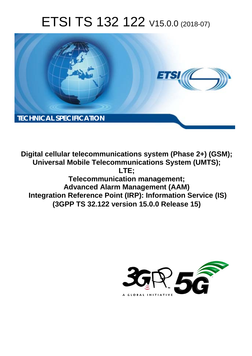# ETSI TS 132 122 V15.0.0 (2018-07)



**Digital cellular telecommunications system (Phase 2+) (GSM); Universal Mobile Telecommunications System (UMTS); LTE; Telecommunication management; Advanced Alarm Management (AAM) Integration Reference Point (IRP): Information Service (IS) (3GPP TS 32.122 version 15.0.0 Release 15)** 

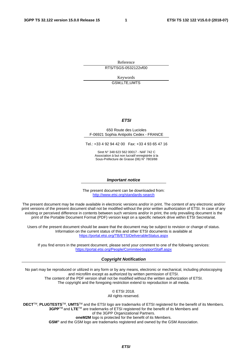Reference

RTS/TSGS-0532122vf00

Keywords GSM,LTE,UMTS

#### *ETSI*

#### 650 Route des Lucioles F-06921 Sophia Antipolis Cedex - FRANCE

Tel.: +33 4 92 94 42 00 Fax: +33 4 93 65 47 16

Siret N° 348 623 562 00017 - NAF 742 C Association à but non lucratif enregistrée à la Sous-Préfecture de Grasse (06) N° 7803/88

#### *Important notice*

The present document can be downloaded from: <http://www.etsi.org/standards-search>

The present document may be made available in electronic versions and/or in print. The content of any electronic and/or print versions of the present document shall not be modified without the prior written authorization of ETSI. In case of any existing or perceived difference in contents between such versions and/or in print, the only prevailing document is the print of the Portable Document Format (PDF) version kept on a specific network drive within ETSI Secretariat.

Users of the present document should be aware that the document may be subject to revision or change of status. Information on the current status of this and other ETSI documents is available at <https://portal.etsi.org/TB/ETSIDeliverableStatus.aspx>

If you find errors in the present document, please send your comment to one of the following services: <https://portal.etsi.org/People/CommiteeSupportStaff.aspx>

#### *Copyright Notification*

No part may be reproduced or utilized in any form or by any means, electronic or mechanical, including photocopying and microfilm except as authorized by written permission of ETSI. The content of the PDF version shall not be modified without the written authorization of ETSI. The copyright and the foregoing restriction extend to reproduction in all media.

> © ETSI 2018. All rights reserved.

**DECT**TM, **PLUGTESTS**TM, **UMTS**TM and the ETSI logo are trademarks of ETSI registered for the benefit of its Members. **3GPP**TM and **LTE**TM are trademarks of ETSI registered for the benefit of its Members and of the 3GPP Organizational Partners. **oneM2M** logo is protected for the benefit of its Members.

**GSM**® and the GSM logo are trademarks registered and owned by the GSM Association.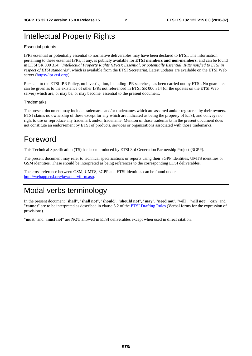# Intellectual Property Rights

#### Essential patents

IPRs essential or potentially essential to normative deliverables may have been declared to ETSI. The information pertaining to these essential IPRs, if any, is publicly available for **ETSI members and non-members**, and can be found in ETSI SR 000 314: *"Intellectual Property Rights (IPRs); Essential, or potentially Essential, IPRs notified to ETSI in respect of ETSI standards"*, which is available from the ETSI Secretariat. Latest updates are available on the ETSI Web server ([https://ipr.etsi.org/\)](https://ipr.etsi.org/).

Pursuant to the ETSI IPR Policy, no investigation, including IPR searches, has been carried out by ETSI. No guarantee can be given as to the existence of other IPRs not referenced in ETSI SR 000 314 (or the updates on the ETSI Web server) which are, or may be, or may become, essential to the present document.

#### **Trademarks**

The present document may include trademarks and/or tradenames which are asserted and/or registered by their owners. ETSI claims no ownership of these except for any which are indicated as being the property of ETSI, and conveys no right to use or reproduce any trademark and/or tradename. Mention of those trademarks in the present document does not constitute an endorsement by ETSI of products, services or organizations associated with those trademarks.

# Foreword

This Technical Specification (TS) has been produced by ETSI 3rd Generation Partnership Project (3GPP).

The present document may refer to technical specifications or reports using their 3GPP identities, UMTS identities or GSM identities. These should be interpreted as being references to the corresponding ETSI deliverables.

The cross reference between GSM, UMTS, 3GPP and ETSI identities can be found under [http://webapp.etsi.org/key/queryform.asp.](http://webapp.etsi.org/key/queryform.asp)

# Modal verbs terminology

In the present document "**shall**", "**shall not**", "**should**", "**should not**", "**may**", "**need not**", "**will**", "**will not**", "**can**" and "**cannot**" are to be interpreted as described in clause 3.2 of the [ETSI Drafting Rules](https://portal.etsi.org/Services/editHelp!/Howtostart/ETSIDraftingRules.aspx) (Verbal forms for the expression of provisions).

"**must**" and "**must not**" are **NOT** allowed in ETSI deliverables except when used in direct citation.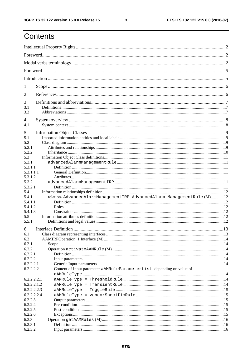$\mathbf{3}$ 

# Contents

| 1                |                                                                        |  |
|------------------|------------------------------------------------------------------------|--|
| $\overline{2}$   |                                                                        |  |
| 3                |                                                                        |  |
| 3.1              |                                                                        |  |
| 3.2              |                                                                        |  |
| 4                |                                                                        |  |
| 4.1              |                                                                        |  |
| 5                |                                                                        |  |
| 5.1              |                                                                        |  |
| 5.2              |                                                                        |  |
| 5.2.1            |                                                                        |  |
| 5.2.2<br>5.3     |                                                                        |  |
| 5.3.1            |                                                                        |  |
| 5.3.1.1          |                                                                        |  |
| 5.3.1.1.1        |                                                                        |  |
| 5.3.1.2          |                                                                        |  |
| 5.3.2            |                                                                        |  |
| 5.3.2.1          |                                                                        |  |
| 5.4              |                                                                        |  |
| 5.4.1            | relation-AdvancedAlarmManagementIRP-AdvancedAlarm ManagementRule (M)12 |  |
| 5.4.1.1          |                                                                        |  |
| 5.4.1.2          |                                                                        |  |
| 5.4.1.3<br>5.5   |                                                                        |  |
| 5.5.1            |                                                                        |  |
|                  |                                                                        |  |
| 6                |                                                                        |  |
| 6.1              |                                                                        |  |
| 6.2              |                                                                        |  |
| 6.2.1            |                                                                        |  |
| 6.2.2<br>6.2.2.1 |                                                                        |  |
| 6.2.2.2          |                                                                        |  |
| 6.2.2.2.1        |                                                                        |  |
| 6.2.2.2.2        | Content of Input parameter aAMRuleParameterList depending on value of  |  |
|                  |                                                                        |  |
| 6.2.2.2.2.1      |                                                                        |  |
| 6.2.2.2.1.2      |                                                                        |  |
| 6.2.2.2.2.3      |                                                                        |  |
| 6.2.2.2.2.4      |                                                                        |  |
| 6.2.2.3          |                                                                        |  |
| 6.2.2.4          |                                                                        |  |
| 6.2.2.5          |                                                                        |  |
| 6.2.2.6          |                                                                        |  |
| 6.2.3<br>6.2.3.1 |                                                                        |  |
| 6.2.3.2          |                                                                        |  |
|                  |                                                                        |  |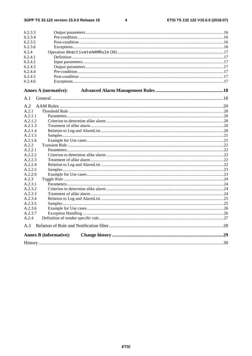$\overline{\mathbf{4}}$ 

| 6.2.3.3 |                               |  |  |  |  |
|---------|-------------------------------|--|--|--|--|
| 6.2.3.4 |                               |  |  |  |  |
| 6.2.3.5 |                               |  |  |  |  |
| 6.2.3.6 |                               |  |  |  |  |
| 6.2.4   |                               |  |  |  |  |
| 6.2.4.1 |                               |  |  |  |  |
| 6.2.4.2 |                               |  |  |  |  |
| 6.2.4.3 |                               |  |  |  |  |
| 6.2.4.4 |                               |  |  |  |  |
| 6.2.4.5 |                               |  |  |  |  |
| 6.2.4.6 |                               |  |  |  |  |
|         | <b>Annex A (normative):</b>   |  |  |  |  |
| A.1     |                               |  |  |  |  |
| A.2     |                               |  |  |  |  |
| A.2.1   |                               |  |  |  |  |
| A.2.1.1 |                               |  |  |  |  |
| A.2.1.2 |                               |  |  |  |  |
| A.2.1.3 |                               |  |  |  |  |
| A.2.1.4 |                               |  |  |  |  |
| A.2.1.5 |                               |  |  |  |  |
| A.2.1.6 |                               |  |  |  |  |
| A.2.2   |                               |  |  |  |  |
| A.2.2.1 |                               |  |  |  |  |
| A.2.2.2 |                               |  |  |  |  |
| A.2.2.3 |                               |  |  |  |  |
| A.2.2.4 |                               |  |  |  |  |
| A.2.2.5 |                               |  |  |  |  |
| A.2.2.6 |                               |  |  |  |  |
| A.2.3   |                               |  |  |  |  |
| A.2.3.1 |                               |  |  |  |  |
| A.2.3.2 |                               |  |  |  |  |
| A.2.3.3 |                               |  |  |  |  |
| A.2.3.4 |                               |  |  |  |  |
| A.2.3.5 |                               |  |  |  |  |
| A.2.3.6 |                               |  |  |  |  |
| A.2.3.7 |                               |  |  |  |  |
| A.2.4   |                               |  |  |  |  |
| A.3     |                               |  |  |  |  |
|         | <b>Annex B (informative):</b> |  |  |  |  |
|         |                               |  |  |  |  |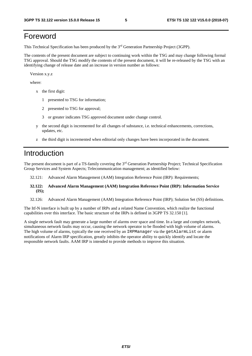# Foreword

This Technical Specification has been produced by the 3rd Generation Partnership Project (3GPP).

The contents of the present document are subject to continuing work within the TSG and may change following formal TSG approval. Should the TSG modify the contents of the present document, it will be re-released by the TSG with an identifying change of release date and an increase in version number as follows:

Version x.y.z

where:

- x the first digit:
	- 1 presented to TSG for information;
	- 2 presented to TSG for approval;
	- 3 or greater indicates TSG approved document under change control.
- y the second digit is incremented for all changes of substance, i.e. technical enhancements, corrections, updates, etc.
- z the third digit is incremented when editorial only changes have been incorporated in the document.

# Introduction

The present document is part of a TS-family covering the 3rd Generation Partnership Project; Technical Specification Group Services and System Aspects; Telecommunication management; as identified below:

- 32.121: Advanced Alarm Management (AAM) Integration Reference Point (IRP): Requirements;
- **32.122: Advanced Alarm Management (AAM) Integration Reference Point (IRP): Information Service (IS);**
- 32.126: Advanced Alarm Management (AAM) Integration Reference Point (IRP); Solution Set (SS) definitions.

The Itf-N interface is built up by a number of IRPs and a related Name Convention, which realize the functional capabilities over this interface. The basic structure of the IRPs is defined in 3GPP TS 32.150 [1].

A single network fault may generate a large number of alarms over space and time. In a large and complex network, simultaneous network faults may occur, causing the network operator to be flooded with high volume of alarms. The high volume of alarms, typically the one received by an IRPManager via the getAlarmList or alarm notifications of Alarm IRP specification, greatly inhibits the operator ability to quickly identify and locate the responsible network faults. AAM IRP is intended to provide methods to improve this situation.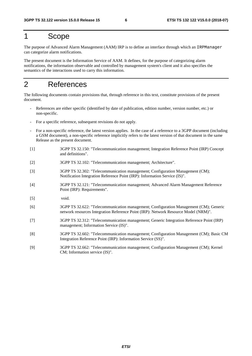# 1 Scope

The purpose of Advanced Alarm Management (AAM) IRP is to define an interface through which an IRPManager can categorize alarm notifications.

The present document is the Information Service of AAM. It defines, for the purpose of categorizing alarm notifications, the information observable and controlled by management system's client and it also specifies the semantics of the interactions used to carry this information.

# 2 References

The following documents contain provisions that, through reference in this text, constitute provisions of the present document.

- References are either specific (identified by date of publication, edition number, version number, etc.) or non-specific.
- For a specific reference, subsequent revisions do not apply.
- For a non-specific reference, the latest version applies. In the case of a reference to a 3GPP document (including a GSM document), a non-specific reference implicitly refers to the latest version of that document in the same Release as the present document.
- [1] 3GPP TS 32.150: "Telecommunication management; Integration Reference Point (IRP) Concept and definitions".
- [2] 3GPP TS 32.102: "Telecommunication management; Architecture".
- [3] 3GPP TS 32.302: "Telecommunication management; Configuration Management (CM); Notification Integration Reference Point (IRP): Information Service (IS)".
- [4] 3GPP TS 32.121: "Telecommunication management; Advanced Alarm Management Reference Point (IRP): Requirements".
- [5] void.
- [6] 3GPP TS 32.622: "Telecommunication management; Configuration Management (CM); Generic network resources Integration Reference Point (IRP): Network Resource Model (NRM)".
- [7] 3GPP TS 32.312: "Telecommunication management; Generic Integration Reference Point (IRP) management; Information Service (IS)".
- [8] 3GPP TS 32.602: "Telecommunication management; Configuration Management (CM); Basic CM Integration Reference Point (IRP): Information Service (SS)".
- [9] 3GPP TS 32.662: "Telecommunication management; Configuration Management (CM); Kernel CM; Information service (IS)".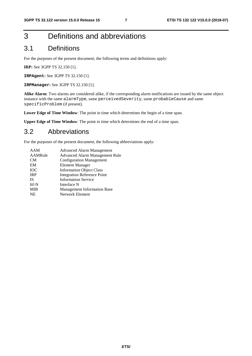# 3 Definitions and abbreviations

# 3.1 Definitions

For the purposes of the present document, the following terms and definitions apply:

**IRP:** See 3GPP TS 32.150 [1].

**IRPAgent:** See 3GPP TS 32.150 [1].

**IRPManager:** See 3GPP TS 32.150 [1].

**Alike Alarm**: Two alarms are considered alike, if the corresponding alarm notifications are issued by the same object instance with the same alarmType, same perceivedSeverity, same probableCause and same specificProblem (if present).

**Lower Edge of Time Window**: The point in time which determines the begin of a time span.

**Upper Edge of Time Window**: The point in time which determines the end of a time span.

### 3.2 Abbreviations

For the purposes of the present document, the following abbreviations apply:

| AAM        | <b>Advanced Alarm Management</b>   |
|------------|------------------------------------|
| AAMRule    | Advanced Alarm Management Rule     |
| CM         | <b>Configuration Management</b>    |
| EM         | <b>Element Manager</b>             |
| <b>IOC</b> | <b>Information Object Class</b>    |
| <b>IRP</b> | <b>Integration Reference Point</b> |
| <b>IS</b>  | <b>Information Service</b>         |
| Itf-N      | Interface N                        |
| <b>MIB</b> | <b>Management Information Base</b> |
| <b>NE</b>  | <b>Network Element</b>             |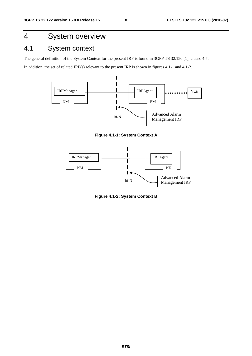# 4 System overview

# 4.1 System context

The general definition of the System Context for the present IRP is found in 3GPP TS 32.150 [1], clause 4.7.

In addition, the set of related IRP(s) relevant to the present IRP is shown in figures 4.1-1 and 4.1-2.



**Figure 4.1-1: System Context A** 



**Figure 4.1-2: System Context B**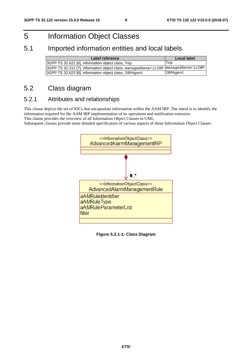# 5 Information Object Classes

# 5.1 Imported information entities and local labels

| Label reference                                                                   | Local label |
|-----------------------------------------------------------------------------------|-------------|
| 3GPP TS 32.622 [6], information object class, Top                                 | Top         |
| 3GPP TS 32.312 [7], information object class, managedGenericIRP managedGenericIRP |             |
| 3GPP TS 32.622 [6], information object class, IRPAgent                            | IRPAgent    |

# 5.2 Class diagram

### 5.2.1 Attributes and relationships

This clause depicts the set of IOCs that encapsulate information within the AAM IRP. The intent is to identify the information required for the AAM IRP implementation of its operations and notification emission.

This clause provides the overview of all Information Object Classes in UML.

Subsequent clauses provide more detailed specification of various aspects of these Information Object Classes.



**Figure 5.2.1-1: Class Diagram**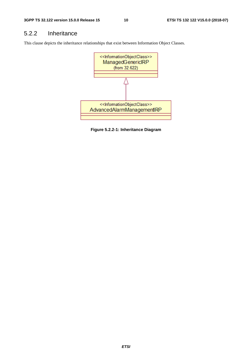# 5.2.2 Inheritance

This clause depicts the inheritance relationships that exist between Information Object Classes.



**Figure 5.2.2-1: Inheritance Diagram**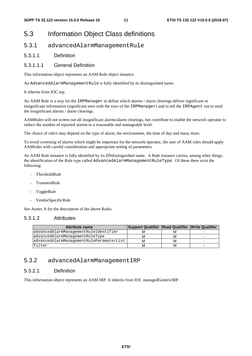# 5.3 Information Object Class definitions

### 5.3.1 advancedAlarmManagementRule

#### 5.3.1.1 Definition

#### 5.3.1.1.1 General Definition

This information object represents an AAM Rule object instance.

An AdvancedAlarmManagementRule is fully identified by its distinguished name.

It inherits from IOC top.

An AAM Rule is a way for the IRPManager to define which alarms / alarm clearings deliver significant or insignificant information (significant seen with the eyes of the IRPManager) and to tell the IRPAgent not to send the insignificant alarms / alarm clearings.

AAMRules will not screen out all insignificant alarms/alarm clearings, but contribute to enable the network operator to reduce the number of reported alarms to a reasonable and manageable level.

The choice of rule/s may depend on the type of alarm, the environment, the time of day and many more.

To avoid screening of alarms which might be important for the network operator, the user of AAM rules should apply AAMrules with careful consideration and appropriate setting of parameters.

An AAM Rule instance is fully identified by its DNdistinguished name. A Rule instance carries, among other things, the identification of the Rule type called AdvancedAlarmManagementRuleType. Of these there exist the following:

- ThresholdRule
- TransientRule
- ToggleRule
- VendorSpecificRule

See Annex A for the description of the above Rules.

#### 5.3.1.2 Attributes

| <b>Attribute name</b>                    | Support Qualifier Read Qualifier Write Qualifier |   |   |
|------------------------------------------|--------------------------------------------------|---|---|
| advancedAlarmManagementRuleIdentifier    | м                                                |   |   |
| advancedAlarmManagementRuleType          | M                                                | M | - |
| advancedAlarmManagementRuleParameterList | м                                                | м | ۰ |
| filter                                   | м                                                | м | - |

#### 5.3.2 advancedAlarmManagementIRP

#### 5.3.2.1 Definition

This information object represents an AAM IRP. It inherits from IOC managedGenericIRP.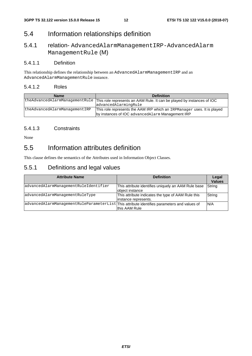# 5.4 Information relationships definition

# 5.4.1 relation- AdvancedAlarmManagementIRP-AdvancedAlarm ManagementRule (M)

#### 5.4.1.1 Definition

This relationship defines the relationship between an AdvancedAlarmManagementIRP and an AdvancedAlarmManagementRule instance.

#### 5.4.1.2 Roles

| <b>Name</b>                   | <b>Definition</b>                                                                                     |
|-------------------------------|-------------------------------------------------------------------------------------------------------|
|                               | theAdvancedAlarmManagementRule This role represents an AAM Rule. It can be played by instances of IOC |
|                               | advancedAlarmingRule                                                                                  |
| theAdvancedAlarmManagementIRP | This role represents the AAM IRP which an IRPManager uses. It is played                               |
|                               | by instances of IOC advanced Alarm Management IRP                                                     |

#### 5.4.1.3 Constraints

None

# 5.5 Information attributes definition

This clause defines the semantics of the Attributes used in Information Object Classes.

# 5.5.1 Definitions and legal values

| <b>Attribute Name</b>                                                                       | <b>Definition</b>                                                          | Legal<br><b>Values</b> |
|---------------------------------------------------------------------------------------------|----------------------------------------------------------------------------|------------------------|
| advancedAlarmManagementRuleIdentifier                                                       | This attribute identifies uniquely an AAM Rule base<br>object instance     | String                 |
| advancedAlarmManagementRuleType                                                             | This attribute indicates the type of AAM Rule this<br>instance represents. | String                 |
| advancedAlarmManagementRuleParameterList This attribute identifies parameters and values of | this AAM Rule                                                              | N/A                    |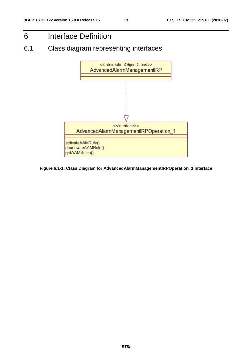# 6 Interface Definition

6.1 Class diagram representing interfaces



**Figure 6.1-1: Class Diagram for AdvancedAlarmManagementIRPOperation\_1 Interface**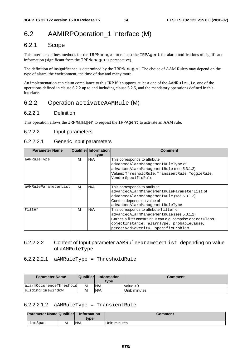# 6.2 AAMIRPOperation 1 Interface (M)

### 6.2.1 Scope

This interface defines methods for the IRPManager to request the IRPAgent for alarm notifications of significant information (significant from the IRPManager's perspective).

The definition of insignificance is determined by the IRPManager. The choice of AAM Rule/s may depend on the type of alarm, the environment, the time of day and many more.

An implementation can claim compliance to this IRP if it supports at least one of the AAMRules, i.e. one of the operations defined in clause 6.2.2 up to and including clause 6.2.5, and the mandatory operations defined in this interface.

### 6.2.2 Operation activateAAMRule (M)

#### 6.2.2.1 Definition

This operation allows the IRPManager to request the IRPAgent to activate an AAM rule.

#### 6.2.2.2 Input parameters

#### 6.2.2.2.1 Generic Input parameters

| <b>Parameter Name</b>            |   | Qualifier Information | <b>Comment</b>                                                 |  |  |
|----------------------------------|---|-----------------------|----------------------------------------------------------------|--|--|
|                                  |   | type                  |                                                                |  |  |
| aAMRuleType                      | М | N/A                   | This corresponds to attribute                                  |  |  |
|                                  |   |                       | advancedAlarmManagementRuleType of                             |  |  |
|                                  |   |                       | advancedAlarmManagementRule (see 5.3.1.2)                      |  |  |
|                                  |   |                       | Values: ThresholdRule, TransientRule, ToggleRule,              |  |  |
|                                  |   |                       | VendorSpecificRule                                             |  |  |
| aAMRuleParameterList<br>N/A<br>м |   |                       | This corresponds to attribute                                  |  |  |
|                                  |   |                       | advancedAlarmManagementRuleParameterList of                    |  |  |
|                                  |   |                       | advancedAlarmManagementRule (see 5.3.1.2)                      |  |  |
|                                  |   |                       | Content depends on value of                                    |  |  |
|                                  |   |                       | advancedAlarmManagementRuleType                                |  |  |
| filter                           | м | N/A                   | This corresponds to attribute filter of                        |  |  |
|                                  |   |                       | advancedAlarmManagementRule (see 5.3.1.2)                      |  |  |
|                                  |   |                       | Carries a filter constraint. It can e.g. comprise objectClass, |  |  |
|                                  |   |                       | objectInstance, alarmType, probableCause,                      |  |  |
|                                  |   |                       | perceivedSeverity, specificProblem.                            |  |  |

#### 6.2.2.2.2 Content of Input parameter aAMRuleParameterList depending on value of aAMRuleType

#### 6.2.2.2.2.1 aAMRuleType = ThresholdRule

| <b>Parameter Name</b>   | <b>Qualifier</b> | <b>Information</b><br>tvpe | Comment       |
|-------------------------|------------------|----------------------------|---------------|
| alarmOccurenceThreshold |                  | N/A                        | value $>0$    |
| slidingTimeWindow       | М                | N/A                        | Unit: minutes |

#### 6.2.2.2.1.2 aAMRuleType = TransientRule

| <b>Parameter Name Qualifier</b> |   | <b>Information</b><br>tvpe | Comment       |
|---------------------------------|---|----------------------------|---------------|
| timeSpan                        | М | N/A                        | Unit: minutes |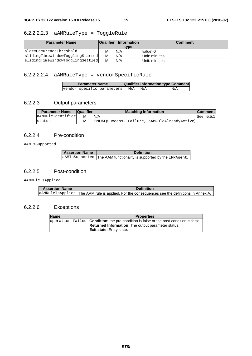### 6.2.2.2.2.3 aAMRuleType = ToggleRule

| <b>Parameter Name</b>            | <b>Qualifier</b> | <b>Information</b> | <b>Comment</b> |
|----------------------------------|------------------|--------------------|----------------|
|                                  |                  | type               |                |
| alarmOccurenceThreshold          | M                | N/A                | value>0        |
| slidingTimeWindowTogglingStarted | M                | N/A                | Unit: minutes  |
| slidingTimeWindowTogglingSettled | M                | N/A                | Unit: minutes  |

### 6.2.2.2.2.4 aAMRuleType = vendorSpecificRule

| <b>Parameter Name</b>      |     | Qualifier Information type Comment |     |
|----------------------------|-----|------------------------------------|-----|
| vendor specific parameters | N/A | N/A                                | N/A |

### 6.2.2.3 Output parameters

| <b>Parameter Name</b> | <b>Qualifier</b> | <b>Matching Information</b>                   | <b>Comment</b> |
|-----------------------|------------------|-----------------------------------------------|----------------|
| aAMRuleIdentifier     | м                | N/A                                           | See §5.5.1     |
| status                | М                | ENUM (Success, Failure, aAMRuleAlreadyActive) |                |

#### 6.2.2.4 Pre-condition

AAMIsSupported

| <b>Assertion Name</b> | <b>Definition</b>                                                  |  |
|-----------------------|--------------------------------------------------------------------|--|
|                       | aAMIsSupported The AAM functionality is supported by the IRPAgent. |  |

#### 6.2.2.5 Post-condition

AAMRuleIsApplied

| <b>Assertion Name</b> | <b>Definition</b>                                                                              |
|-----------------------|------------------------------------------------------------------------------------------------|
|                       | aAMRuleIsApplied The AAM rule is applied. For the consequences see the definitions in Annex A. |

### 6.2.2.6 Exceptions

| <b>Name</b> | <b>Properties</b>                                                                                      |  |
|-------------|--------------------------------------------------------------------------------------------------------|--|
|             | $\alpha$ operation failed <b>Condition:</b> the pre-condition is false or the post-condition is false. |  |
|             | <b>Returned Information:</b> The output parameter status.                                              |  |
|             | <b>Exit state:</b> Entry state.                                                                        |  |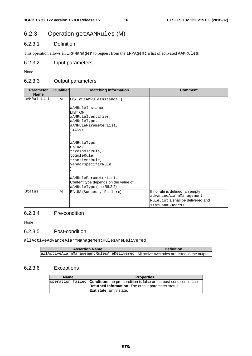# 6.2.3 Operation getAAMRules (M)

#### 6.2.3.1 Definition

This operation allows an IRPManager to request from the IRPAgent a list of activated AAMRules.

#### 6.2.3.2 Input parameters

None

#### 6.2.3.3 Output parameters

| <b>Parameter</b><br><b>Name</b> | Qualifier | <b>Matching Information</b>                                                                                                                                                                                                                                                                                                          | <b>Comment</b>                                                                                                               |
|---------------------------------|-----------|--------------------------------------------------------------------------------------------------------------------------------------------------------------------------------------------------------------------------------------------------------------------------------------------------------------------------------------|------------------------------------------------------------------------------------------------------------------------------|
| aAMRuleList                     | м         | LIST of aAMRuleInstance {<br>aAMRuleInstance<br>LIST OF $\{$<br>aAMRuleIdentifier,<br>aAMRuleType,<br>aAMRuleParameterList,<br>filter<br>aAMRuleType<br>ENUM (<br>thresholdRule,<br>toggleRule,<br>transientRule,<br>vendorSpecificRule<br>aAMRuleParameterList:<br>Content type depends on the value of<br>aAMRuleType (see §6.2.2) |                                                                                                                              |
| Status                          | M         | ENUM (Success, Failure)                                                                                                                                                                                                                                                                                                              | If no rule is defined, an empty<br>advancedAlarmManagement<br>$\rm _{RuleList}$ a shall be delivered and<br>status==Success. |

#### 6.2.3.4 Pre-condition

None

#### 6.2.3.5 Post-condition

allActiveAdvanceAlarmManagementRulesAreDelivered

| <b>Assertion Name</b>                                                                   | <b>Definition</b> |
|-----------------------------------------------------------------------------------------|-------------------|
| allActiveAlarmManagementRulesAreDelivered Allactive AAM rules are listed in the output. |                   |

### 6.2.3.6 Exceptions

| <b>Name</b> | <b>Properties</b>                                                                                      |  |
|-------------|--------------------------------------------------------------------------------------------------------|--|
|             | $\alpha$ operation failed <b>Condition:</b> the pre-condition is false or the post-condition is false. |  |
|             | <b>Returned Information:</b> The output parameter status.                                              |  |
|             | <b>Exit state:</b> Entry state.                                                                        |  |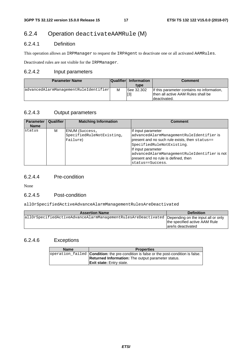# 6.2.4 Operation deactivateAAMRule (M)

#### 6.2.4.1 Definition

This operation allows an IRPManager to request the IRPAgent to deactivate one or all activated AAMRules.

Deactivated rules are not visible for the IRPManager.

#### 6.2.4.2 Input parameters

| <b>Parameter Name</b>                 | <b>Qualifier</b> | <b>Information</b> | <b>Comment</b>                                                                                    |
|---------------------------------------|------------------|--------------------|---------------------------------------------------------------------------------------------------|
|                                       |                  | type               |                                                                                                   |
| advancedAlarmManagementRuleIdentifier | M                | See 32.302<br>[3]  | If this parameter contains no information,<br>then all active AAM Rules shall be<br>Ideactivated. |

### 6.2.4.3 Output parameters

| <b>Parameter</b><br><b>Name</b> | Qualifier | <b>Matching Information</b>                                    | <b>Comment</b>                                                                                                                                                                                                                                                                  |
|---------------------------------|-----------|----------------------------------------------------------------|---------------------------------------------------------------------------------------------------------------------------------------------------------------------------------------------------------------------------------------------------------------------------------|
| status                          | м         | <b>ENUM</b> (Success,<br>SpecifiedRuleNotExisting,<br>Failure) | If input parameter<br>advancedAlarmManagementRuleIdentifier is<br>present and no such rule exists, then status==<br>SpecifiedRuleNotExisting.<br>If input parameter<br>advancedAlarmManagementRuleIdentifier is not<br>present and no rule is defined, then<br>status==Success. |

### 6.2.4.4 Pre-condition

None

#### 6.2.4.5 Post-condition

allOrSpecifiedActiveAdvanceAlarmManagementRulesAreDeactivated

| <b>Assertion Name</b>                                                                            | <b>Definition</b>                                    |
|--------------------------------------------------------------------------------------------------|------------------------------------------------------|
| allOrSpecifiedActiveAdvanceAlarmManagementRulesAreDeactivated Depending on the input all or only | the specified active AAM Rule<br>lare/is deactivated |

### 6.2.4.6 Exceptions

| <b>Name</b><br><b>Properties</b> |                                                                                               |  |
|----------------------------------|-----------------------------------------------------------------------------------------------|--|
|                                  | operation failed <b>Condition:</b> the pre-condition is false or the post-condition is false. |  |
|                                  | <b>Returned Information:</b> The output parameter status.                                     |  |
|                                  | <b>Exit state:</b> Entry state.                                                               |  |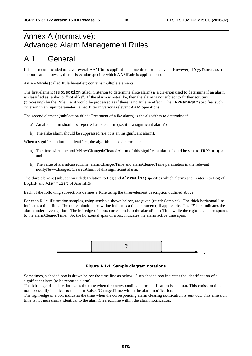# Annex A (normative): Advanced Alarm Management Rules

# A.1 General

It is not recommended to have several AAMRules applicable at one time for one event. However, if YyyFunction supports and allows it, then it is vendor specific which AAMRule is applied or not.

An AAMRule (called Rule hereafter) contains multiple elements.

The first element (subSection titled: Criterion to determine alike alarm) is a criterion used to determine if an alarm is classified as 'alike' or "not alike". If the alarm is not-alike, then the alarm is not subject to further scrutiny (processing) by the Rule, i.e. it would be processed as if there is no Rule in effect. The IRPManager specifies such criterion in an input parameter named filter in various relevant AAM operations.

The second element (subSection titled: Treatment of alike alarm) is the algorithm to determine if

- a) An alike alarm should be reported as one alarm (i.e. it is a significant alarm) or
- b) The alike alarm should be suppressed (i.e. it is an insignificant alarm).

When a significant alarm is identified, the algorithm also determines:

- a) The time when the notifyNew/Changed/ClearedAlarm of this significant alarm should be sent to IRPManager and
- b) The value of alarmRaisedTime, alarmChangedTime and alarmClearedTime parameters in the relevant notifyNew/Changed/ClearedAlarm of this significant alarm.

The third element (subSection titled: Relation to Log and AlarmList) specifies which alarms shall enter into Log of LogIRP and AlarmList of AlarmIRP.

Each of the following subsections defines a Rule using the three-element description outlined above.

For each Rule, illustration samples, using symbols shown below, are given (titled: Samples). The thick horizontal line indicates a time-line. The dotted double-arrow line indicates a time parameter, if applicable. The '?' box indicates the alarm under investigation. The left-edge of a box corresponds to the alarmRaisedTime while the right-edge corresponds to the alarmClearedTime. So, the horizontal span of a box indicates the alarm active time span.



**Figure A.1-1: Sample diagram notations** 

Sometimes, a shaded box is drawn below the time line as below. Such shaded box indicates the identification of a significant alarm (to be reported alarm).

The left-edge of the box indicates the time when the corresponding alarm notification is sent out. This emission time is not necessarily identical to the alarmRaised/ChangedTime within the alarm notification.

The right-edge of a box indicates the time when the corresponding alarm clearing notification is sent out. This emission time is not necessarily identical to the alarmClearedTime within the alarm notification.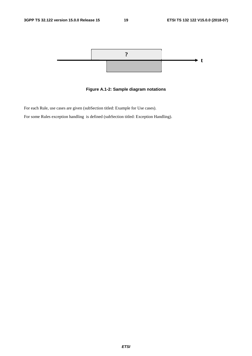

**Figure A.1-2: Sample diagram notations** 

For each Rule, use cases are given (subSection titled: Example for Use cases).

For some Rules exception handling is defined (subSection titled: Exception Handling).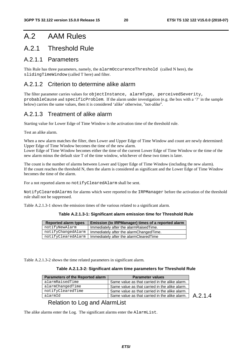# A.2 AAM Rules

# A.2.1 Threshold Rule

### A.2.1.1 Parameters

This Rule has three parameters, namely, the alarmOccurenceThreshold (called N here), the slidingTimeWindow (called T here) and filter.

### A.2.1.2 Criterion to determine alike alarm

The filter parameter carries values for objectInstance, alarmType, perceivedSeverity, probableCause and specificProblem. If the alarm under investigation (e.g. the box with a '?' in the sample below) carries the same values, then it is considered 'alike' otherwise, "not-alike".

### A.2.1.3 Treatment of alike alarm

Starting value for Lower Edge of Time Window is the activation time of the threshold rule.

Test an alike alarm.

When a new alarm matches the filter, then Lower and Upper Edge of Time Window and count are newly determined: Upper Edge of Time Window becomes the time of the new alarm.

Lower Edge of Time Window becomes either the time of the current Lower Edge of Time Window or the time of the new alarm minus the default size T of the time window, whichever of these two times is later.

The count is the number of alarms between Lower and Upper Edge of Time Window (including the new alarm). If the count reaches the threshold N, then the alarm is considered as significant and the Lower Edge of Time Window becomes the time of the alarm.

For a not reported alarm no notifyClearedAlarm shall be sent.

NotifyClearedAlarms for alarms which were reported to the IRPManager before the activation of the threshold rule shall not be suppressed.

Table A.2.1.3-1 shows the emission times of the various related to a significant alarm.

| <b>Reported alarm types</b> | Emission (to IRPManager) times of a reported alarm |
|-----------------------------|----------------------------------------------------|
| notifyNewAlarm              | Immediately after the alarmRaisedTime.             |
| notifyChangedAlarm          | Immediately after the alarmChangedTime.            |
| notifyClearedAlarm          | Immediately after the alarmClearedTime             |

Table A.2.1.3-2 shows the time related parameters in significant alarm.

#### **Table A.2.1.3-2: Significant alarm time parameters for Threshold Rule**

| <b>Parameters of the Reported alarm</b> | <b>Parameter values</b>                        |         |
|-----------------------------------------|------------------------------------------------|---------|
| alarmRaisedTime                         | Same value as that carried in the alike alarm. |         |
| alarmChangedTime                        | Same value as that carried in the alike alarm. |         |
| notifyClearedTime                       | Same value as that carried in the alike alarm. |         |
| alarmId                                 | Same value as that carried in the alike alarm. | A.2.1.4 |

#### Relation to Log and AlarmList

The alike alarms enter the Log. The significant alarms enter the AlarmList.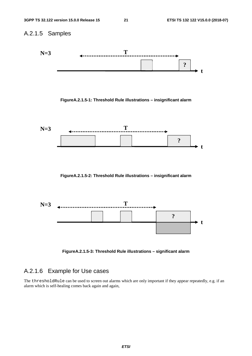

**FigureA.2.1.5-3: Threshold Rule illustrations – significant alarm** 

# A.2.1.6 Example for Use cases

The thresholdRule can be used to screen out alarms which are only important if they appear repeatedly, e.g. if an alarm which is self-healing comes back again and again,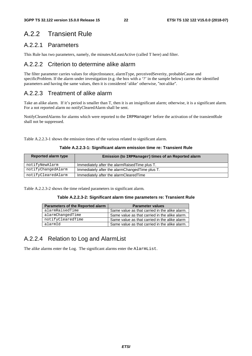# A.2.2 Transient Rule

### A.2.2.1 Parameters

This Rule has two parameters, namely, the minutesAtLeastActive (called T here) and filter.

### A.2.2.2 Criterion to determine alike alarm

The filter parameter carries values for objectInstance, alarmType, perceivedSeverity, probableCause and specificProblem. If the alarm under investigation (e.g. the box with a '?' in the sample below) carries the identified parameters and having the same values, then it is considered 'alike' otherwise, "not-alike".

# A.2.2.3 Treatment of alike alarm

Take an alike alarm. If it's period is smaller than T, then it is an insignificant alarm; otherwise, it is a significant alarm. For a not reported alarm no notifyClearedAlarm shall be sent.

NotifyClearedAlarms for alarms which were reported to the IRPManager before the activation of the transientRule shall not be suppressed.

Table A.2.2.3-1 shows the emission times of the various related to significant alarm.

**Table A.2.2.3-1: Significant alarm emission time re: Transient Rule** 

| Reported alarm type | Emission (to IRPManager) times of an Reported alarm |  |  |  |  |  |
|---------------------|-----------------------------------------------------|--|--|--|--|--|
| notifyNewAlarm      | Immediately after the alarmRaisedTime plus T.       |  |  |  |  |  |
| notifyChangedAlarm  | Immediately after the alarmChangedTime plus T.      |  |  |  |  |  |
| notifyClearedAlarm  | Immediately after the alarmClearedTime              |  |  |  |  |  |

Table A.2.2.3-2 shows the time related parameters in significant alarm.

|  | Table A.2.2.3-2: Significant alarm time parameters re: Transient Rule |  |  |  |  |  |
|--|-----------------------------------------------------------------------|--|--|--|--|--|
|--|-----------------------------------------------------------------------|--|--|--|--|--|

| Parameters of the Reported alarm | <b>Parameter values</b>                        |
|----------------------------------|------------------------------------------------|
| alarmRaisedTime                  | Same value as that carried in the alike alarm. |
| alarmChangedTime                 | Same value as that carried in the alike alarm. |
| notifyClearedTime                | Same value as that carried in the alike alarm  |
| alarmId                          | Same value as that carried in the alike alarm. |

### A.2.2.4 Relation to Log and AlarmList

The alike alarms enter the Log. The significant alarms enter the AlarmList.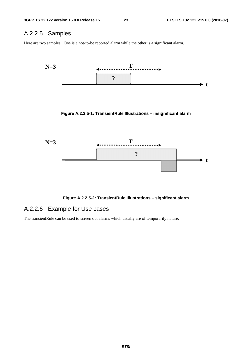### A.2.2.5 Samples

Here are two samples. One is a not-to-be reported alarm while the other is a significant alarm.



**Figure A.2.2.5-2: TransientRule Illustrations – significant alarm** 

# A.2.2.6 Example for Use cases

The transientRule can be used to screen out alarms which usually are of temporarily nature.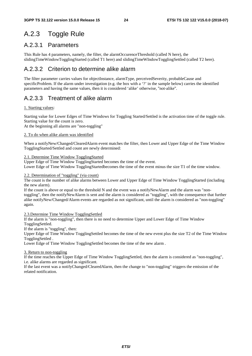# A.2.3 Toggle Rule

### A.2.3.1 Parameters

This Rule has 4 parameters, namely, the filter, the alarmOccurenceThreshold (called N here), the slidingTimeWindowTogglingStarted (called T1 here) and slidingTimeWIndowTogglingSettled (called T2 here).

# A.2.3.2 Criterion to determine alike alarm

The filter parameter carries values for objectInstance, alarmType, perceivedSeverity, probableCause and specificProblem. If the alarm under investigation (e.g. the box with a '?' in the sample below) carries the identified parameters and having the same values, then it is considered 'alike' otherwise, "not-alike".

# A.2.3.3 Treatment of alike alarm

#### 1. Starting values:

Starting value for Lower Edges of Time Windows for Toggling Started/Settled is the activation time of the toggle rule. Starting value for the count is zero.

At the beginning all alarms are "non-toggling"

#### 2. To do when alike alarm was identified

When a notifyNew/Changed/ClearedAlarm event matches the filter, then Lower and Upper Edge of the Time Window TogglingStarted/Settled and count are newly determined:

#### 2.1. Determine Time Window TogglingStarted

Upper Edge of Time Window TogglingStarted becomes the time of the event.

Lower Edge of Time Window TogglingStartedbecomes the time of the event minus the size T1 of the time window.

#### 2.2. Determination of "toggling" (via count)

The count is the number of alike alarms between Lower and Upper Edge of Time Window TogglingStarted (including the new alarm).

If the count is above or equal to the threshold N and the event was a notifyNewAlarm and the alarm was "nontoggling", then the notifyNewAlarm is sent and the alarm is considered as "toggling", with the consequence that further alike notifyNew/Changed/Alarm events are regarded as not significant, until the alarm is considered as "non-toggling" again.

#### 2.3.Determine Time Window TogglingSettled

If the alarm is "non-toggling", then there is no need to determine Upper and Lower Edge of Time Window TogglingSettled.

If the alarm is "toggling", then:

Upper Edge of Time Window TogglingSettled becomes the time of the new event plus the size T2 of the Time Window TogglingSettled .

Lower Edge of Time Window TogglingSettled becomes the time of the new alarm .

#### 3. Return to non-toggling

If the time reaches the Upper Edge of Time Window TogglingSettled, then the alarm is considered as "non-toggling", i.e. alike alarms are regarded as significant.

If the last event was a notifyChanged/ClearedAlarm, then the change to "non-toggling" triggers the emission of the related notification.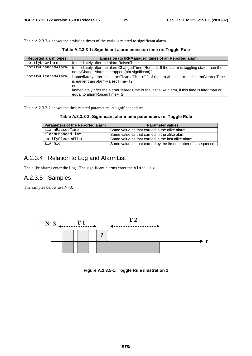Table A.2.3.3-1 shows the emission times of the various related to significant alarm.

| <b>Reported alarm types</b> | Emission (to IRPManager) times of an Reported alarm                                                                                          |
|-----------------------------|----------------------------------------------------------------------------------------------------------------------------------------------|
| notifyNewAlarm              | Immediately after the alarmRaisedTime                                                                                                        |
| notifyChangedAlarm          | Immediately after the alarmChangedTime [Remark: If the alarm is toggling state, then the<br>notifyChangeAlarm is dropped (not significant).] |
| notifyClearedAlarm          | Immediately after the alarmClearedTime+T2 of the last alike alarm, if alarmClearedTime<br>is earlier than alarmRaisedTime+T2<br>or           |
|                             | immediately after the alarmClearedTime of the last alike alarm, if this time is later than or<br>equal to alarmRaisedTime+T2                 |

**Table A.2.3.3-1: Significant alarm emission time re: Toggle Rule** 

Table A.2.3.3-2 shows the time related parameters in significant alarm.

**Table A.2.3.3-2: Significant alarm time parameters re: Toggle Rule** 

| Parameters of the Reported alarm | <b>Parameter values</b>                                       |
|----------------------------------|---------------------------------------------------------------|
| alarmRaisedTime                  | Same value as that carried in the alike alarm.                |
| alarmChangedTime                 | Same value as that carried in the alike alarm.                |
| notifyClearedTime                | Same value as that carried in the last alike alarm.           |
| alarmId                          | Same value as that carried by the first member of a sequence. |

### A.2.3.4 Relation to Log and AlarmList

The alike alarms enter the Log. The significant alarms enter the AlarmList.

#### A.2.3.5 Samples

The samples below use N=3.



**Figure A.2.3.5-1: Toggle Rule illustration 1**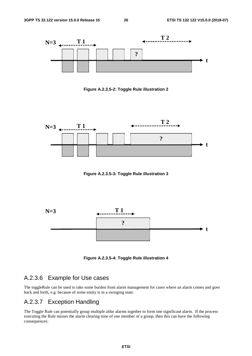

**Figure A.2.3.5-2: Toggle Rule illustration 2** 



**Figure A.2.3.5-3: Toggle Rule illustration 3** 



**Figure A.2.3.5-4: Toggle Rule illustration 4** 

### A.2.3.6 Example for Use cases

The toggleRule can be used to take some burden from alarm management for cases where an alarm comes and goes back and forth, e.g. because of some entity is in a swinging state.

### A.2.3.7 Exception Handling

The Toggle Rule can potentially group multiple alike alarms together to form one significant alarm. If the process executing the Rule misses the alarm clearing time of one member of a group, then this can have the following consequences: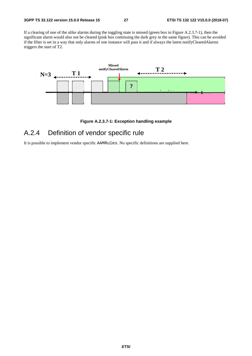If a clearing of one of the alike alarms during the toggling state is missed (green box in Figure A.2.3.7-1), then the significant alarm would also not be cleared (pink box continuing the dark grey in the same figure). This can be avoided if the filter is set in a way that only alarms of one instance will pass it and if always the latest notifyClearedAlarms triggers the start of T2.



#### **Figure A.2.3.7-1: Exception handling example**

# A.2.4 Definition of vendor specific rule

It is possible to implement vendor specific AAMRules. No specific definitions are supplied here.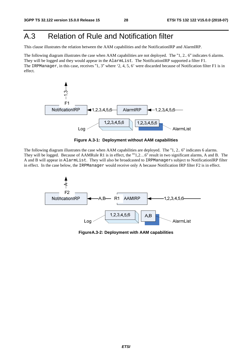# A.3 Relation of Rule and Notification filter

This clause illustrates the relation between the AAM capabilities and the NotificationIRP and AlarmIRP.

The following diagram illustrates the case when AAM capabilities are not deployed. The "1, 2.. 6" indicates 6 alarms. They will be logged and they would appear in the AlarmList. The NotificationIRP supported a filter F1. The IRPManager, in this case, receives "1, 3" where '2, 4, 5, 6' were discarded because of Notification filter F1 is in effect.



**Figure A.3-1: Deployment without AAM capabilities** 

The following diagram illustrates the case when AAM capabilities are deployed. The "1, 2.. 6" indicates 6 alarms. They will be logged. Because of AAMRule R1 is in effect, the ""1,2…6" result in two significant alarms, A and B. The A and B will appear in AlarmList. They will also be broadcasted to IRPManagers subject to NotificationIRP filter in effect. In the case below, the IRPManager would receive only A because Notification IRP filter F2 is in effect.



**FigureA.3-2: Deployment with AAM capabilities**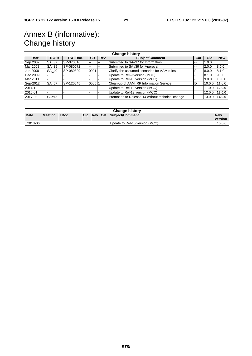# Annex B (informative): Change history

|          | <b>Change history</b> |                 |           |     |                                                  |     |        |            |  |
|----------|-----------------------|-----------------|-----------|-----|--------------------------------------------------|-----|--------|------------|--|
| Date     | TSG #                 | <b>TSG Doc.</b> | <b>CR</b> | Rev | <b>Subject/Comment</b>                           | Cat | Old    | <b>New</b> |  |
| Sep 2007 | SA 37                 | SP-070616       | $- -$     | --  | Submitted to SA#37 for Information               | --  | 1.0.0  |            |  |
| Mar 2008 | SA 39                 | SP-080072       | --        | --  | Submitted to SA#39 for Approval                  | --  | 2.0.0  | 8.0.0      |  |
| Jun 2008 | SA 40                 | SP-080329       | $0001$ -- |     | Clarify the assumed scenarios for AAM rules      | F   | 8.0.0  | 8.1.0      |  |
| Dec 2009 |                       |                 |           |     | Update to Rel-9 version (MCC)                    |     | 8.1.0  | 9.0.0      |  |
| Mar 2011 |                       |                 |           |     | Update to Rel-10 version (MCC)                   |     | 9.0.0  | 10.0.0     |  |
| Sep-2012 | SA 57                 | SP-120645       | 0005 1    |     | Clean-up of AAM IRP Information Service          | D   | 10.0.0 | 11.0.0     |  |
| 2014-10  |                       |                 |           |     | Update to Rel-12 version (MCC)                   |     | 11.0.0 | 12.0.0     |  |
| 2016-01  |                       |                 |           |     | Update to Rel-13 version (MCC)                   |     | 12.0.0 | 13.0.0     |  |
| 2017-03  | SA#75                 |                 |           |     | Promotion to Release 14 without technical change |     | 13.0.0 | 14.0.0     |  |

| <b>Change history</b> |                |              |            |  |  |                                |                       |  |
|-----------------------|----------------|--------------|------------|--|--|--------------------------------|-----------------------|--|
| <b>Date</b>           | <b>Meeting</b> | <b>ITDoc</b> | <b>ICR</b> |  |  | Rev Cat Subiect/Comment        | <b>New</b><br>version |  |
| 2018-06               |                |              |            |  |  | Update to Rel-15 version (MCC) | 15.0.0                |  |